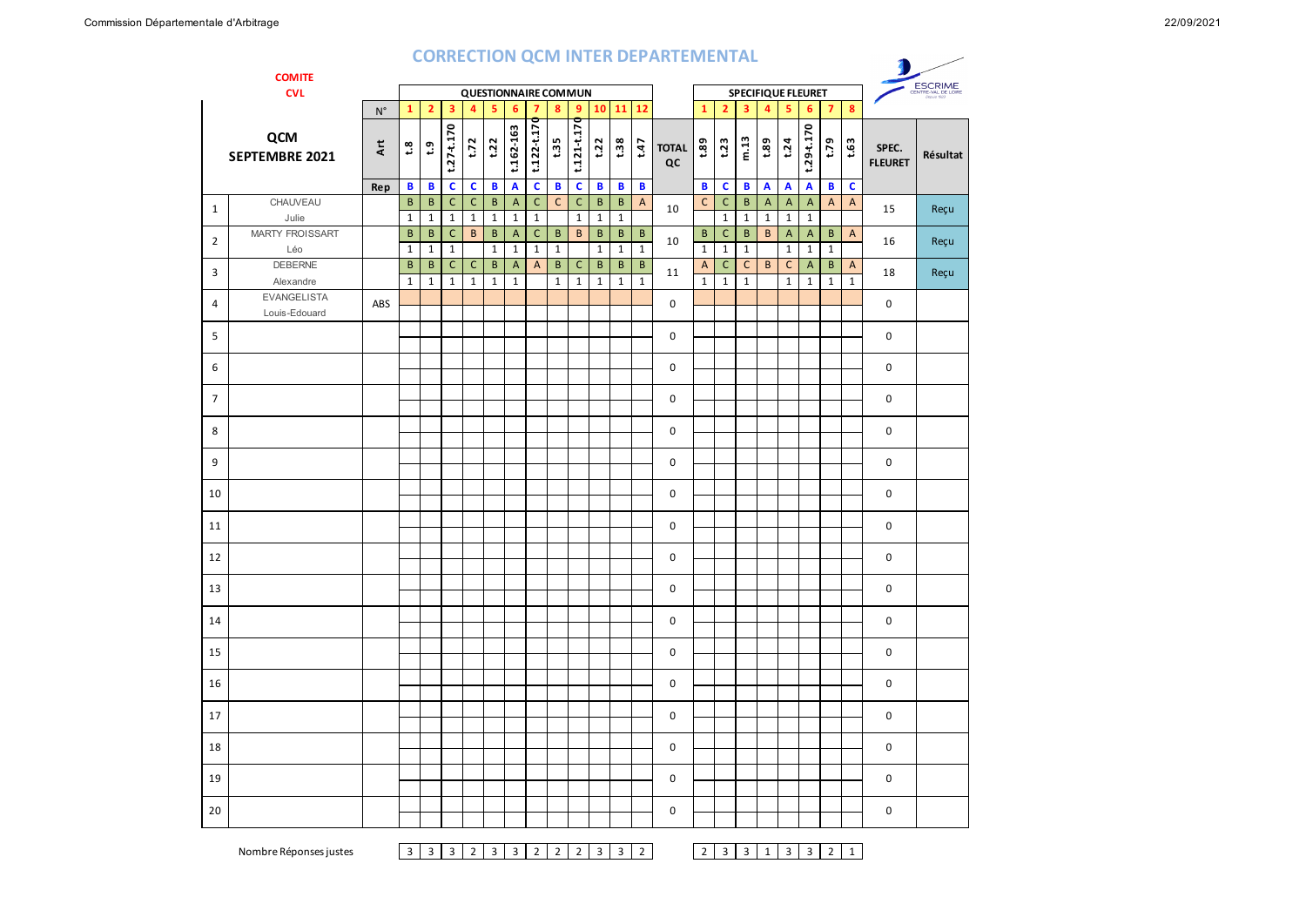## **CORRECTION QCM INTER DEPARTEMENTAL**

|                | <b>COMITE</b>                       |                            |                                                   |                             |                                |                              |                             |                                 |                             |                              |                                |                     |                             |                          | <b>CORRECTION QUIVITINTER DEPARTEMENTAL</b> |                      |                                      |                             |                        |                                 |                                           |                   |                              |                         |          |
|----------------|-------------------------------------|----------------------------|---------------------------------------------------|-----------------------------|--------------------------------|------------------------------|-----------------------------|---------------------------------|-----------------------------|------------------------------|--------------------------------|---------------------|-----------------------------|--------------------------|---------------------------------------------|----------------------|--------------------------------------|-----------------------------|------------------------|---------------------------------|-------------------------------------------|-------------------|------------------------------|-------------------------|----------|
|                | <b>CVL</b>                          |                            | <b>QUESTIONNAIRE COMMUN</b><br>SPECIFIQUE FLEURET |                             |                                |                              |                             |                                 |                             |                              |                                |                     |                             |                          |                                             |                      | ESCRIME<br><b>CENTRE-VAL DE LOIS</b> |                             |                        |                                 |                                           |                   |                              |                         |          |
|                |                                     | $\mathsf{N}^\circ$         | $\mathbf{1}$                                      | $\overline{2}$              | $\overline{\mathbf{3}}$        | $\overline{4}$               | 5                           | 6                               | $\overline{7}$              | $\boldsymbol{8}$             | 9 <sup>°</sup>                 |                     | 10 11 12                    |                          |                                             | $\mathbf{1}$         | 2 <sup>1</sup>                       | $\overline{\mathbf{3}}$     | 4                      | 5                               | 6                                         | $\overline{7}$    | 8                            |                         |          |
|                | QCM<br>SEPTEMBRE 2021               | $\ddot{\mathbf{x}}$<br>Rep | $\mathfrak{L}^{\mathfrak{a}}$<br>$\, {\bf B}$     | $\mathbf{c}$<br>$\mathbf B$ | $t.27 - t.170$<br>$\mathbf{C}$ | t.72<br>$\mathbf c$          | t.22<br>$\, {\bf B}$        | t.162-163<br>$\pmb{\mathsf{A}}$ | t.122-t.170<br>$\mathbf c$  | t.35<br>$\, {\bf B}$         | $t.121 + t.170$<br>$\mathbf c$ | t.22<br>$\mathbf B$ | t.38<br>$\, {\bf B}$        | t.47<br>$\mathbf B$      | <b>TOTAL</b><br>QC                          | 1.89<br>$\mathbf{B}$ | t.23<br>c                            | m.13<br>B                   | 1.89<br>$\overline{A}$ | t.24<br>$\overline{\mathbf{A}}$ | $t.29 - t.170$<br>$\overline{\mathbf{A}}$ | t.79<br>B         | t.63<br>$\mathbf c$          | SPEC.<br><b>FLEURET</b> | Résultat |
|                | CHAUVEAU                            |                            | $\, {\bf B}$                                      | $\, {\bf B}$                | $\mathsf{C}$                   | $\mathsf C$                  | $\, {\bf B}$                | $\overline{A}$                  | $\mathsf C$                 | $\mathsf C$                  | $\mathsf C$                    | $\, {\sf B}$        | $\,$ B                      | $\overline{A}$           |                                             | $\mathsf{C}$         | $\mathsf C$                          | $\sf B$                     | $\mathsf{A}$           | $\overline{A}$                  | $\overline{A}$                            | $\mathsf{A}$      | $\mathsf{A}$                 |                         |          |
| $\mathbf{1}$   | Julie                               |                            | $\mathbf{1}$                                      | $\mathbf{1}$                | $\mathbf{1}$                   | $\mathbf{1}$                 | $\mathbf{1}$                | $\mathbf{1}$                    | $\mathbf 1$                 |                              | $\mathbf{1}$                   | $\mathbf{1}$        | $\mathbf{1}$                |                          | 10                                          |                      | $\mathbf{1}$                         | $\mathbf{1}$                | $\mathbf{1}$           | $\mathbf 1$                     | $\mathbf 1$                               |                   |                              | 15                      | Reçu     |
| $\overline{2}$ | <b>MARTY FROISSART</b><br>Léo       |                            | $\, {\bf B}$<br>$\mathbf 1$                       | $\sf{B}$<br>$\mathbf 1$     | $\mathsf{C}$<br>$\mathbf 1$    | $\sf{B}$                     | $\, {\bf B}$<br>$\mathbf 1$ | $\overline{A}$<br>$\mathbf 1$   | $\mathsf{C}$<br>$\mathbf 1$ | $\mathsf{B}$<br>$\mathbf{1}$ | B                              | B<br>$\mathbf{1}$   | $\mathsf B$<br>$\mathbf{1}$ | $\,$ B<br>$\overline{1}$ | 10                                          | B<br>$\mathbf 1$     | $\mathsf{C}$<br>$\mathbf 1$          | $\mathsf B$<br>$\mathbf{1}$ | B                      | $\overline{A}$<br>$\mathbf 1$   | A<br>$\mathbf 1$                          | B<br>$\mathbf{1}$ | $\overline{A}$               | 16                      | Reçu     |
| 3              | <b>DEBERNE</b><br>Alexandre         |                            | B<br>$\mathbf{1}$                                 | B<br>$\mathbf{1}$           | C<br>$\mathbf{1}$              | $\mathsf{C}$<br>$\mathbf{1}$ | B<br>$\mathbf 1$            | A<br>$\mathbf 1$                | A                           | B<br>$\mathbf{1}$            | $\mathsf{C}$<br>$\mathbf 1$    | B<br>$\mathbf 1$    | B<br>$\mathbf 1$            | B<br>$\mathbf{1}$        | 11                                          | A<br>$\mathbf{1}$    | C<br>$\mathbf{1}$                    | $\mathsf{C}$<br>$\mathbf 1$ | B                      | $\mathsf{C}$<br>$\mathbf{1}$    | $\mathsf{A}$<br>$\mathbf 1$               | B<br>$\mathbf 1$  | $\mathsf{A}$<br>$\mathbf{1}$ | 18                      | Reçu     |
| 4              | <b>EVANGELISTA</b><br>Louis-Edouard | ABS                        |                                                   |                             |                                |                              |                             |                                 |                             |                              |                                |                     |                             |                          | $\mathbf 0$                                 |                      |                                      |                             |                        |                                 |                                           |                   |                              | 0                       |          |
| 5              |                                     |                            |                                                   |                             |                                |                              |                             |                                 |                             |                              |                                |                     |                             |                          | 0                                           |                      |                                      |                             |                        |                                 |                                           |                   |                              | 0                       |          |
| 6              |                                     |                            |                                                   |                             |                                |                              |                             |                                 |                             |                              |                                |                     |                             |                          | 0                                           |                      |                                      |                             |                        |                                 |                                           |                   |                              | 0                       |          |
| $\overline{7}$ |                                     |                            |                                                   |                             |                                |                              |                             |                                 |                             |                              |                                |                     |                             |                          | 0                                           |                      |                                      |                             |                        |                                 |                                           |                   |                              | 0                       |          |
| 8              |                                     |                            |                                                   |                             |                                |                              |                             |                                 |                             |                              |                                |                     |                             |                          | $\Omega$                                    |                      |                                      |                             |                        |                                 |                                           |                   |                              | 0                       |          |
| 9              |                                     |                            |                                                   |                             |                                |                              |                             |                                 |                             |                              |                                |                     |                             |                          | 0                                           |                      |                                      |                             |                        |                                 |                                           |                   |                              | 0                       |          |
| 10             |                                     |                            |                                                   |                             |                                |                              |                             |                                 |                             |                              |                                |                     |                             |                          | 0                                           |                      |                                      |                             |                        |                                 |                                           |                   |                              | 0                       |          |
| 11             |                                     |                            |                                                   |                             |                                |                              |                             |                                 |                             |                              |                                |                     |                             |                          | $\mathbf 0$                                 |                      |                                      |                             |                        |                                 |                                           |                   |                              | $\mathbf 0$             |          |
| 12             |                                     |                            |                                                   |                             |                                |                              |                             |                                 |                             |                              |                                |                     |                             |                          | $\mathbf 0$                                 |                      |                                      |                             |                        |                                 |                                           |                   |                              | 0                       |          |
| 13             |                                     |                            |                                                   |                             |                                |                              |                             |                                 |                             |                              |                                |                     |                             |                          | $\mathbf 0$                                 |                      |                                      |                             |                        |                                 |                                           |                   |                              | 0                       |          |
| 14             |                                     |                            |                                                   |                             |                                |                              |                             |                                 |                             |                              |                                |                     |                             |                          | $\mathbf 0$                                 |                      |                                      |                             |                        |                                 |                                           |                   |                              | 0                       |          |
| 15             |                                     |                            |                                                   |                             |                                |                              |                             |                                 |                             |                              |                                |                     |                             |                          | $\mathbf 0$                                 |                      |                                      |                             |                        |                                 |                                           |                   |                              | 0                       |          |
| 16             |                                     |                            |                                                   |                             |                                |                              |                             |                                 |                             |                              |                                |                     |                             |                          | $\mathbf 0$                                 |                      |                                      |                             |                        |                                 |                                           |                   |                              | 0                       |          |
| 17             |                                     |                            |                                                   |                             |                                |                              |                             |                                 |                             |                              |                                |                     |                             |                          | $\pmb{0}$                                   |                      |                                      |                             |                        |                                 |                                           |                   |                              | $\pmb{0}$               |          |
| 18             |                                     |                            |                                                   |                             |                                |                              |                             |                                 |                             |                              |                                |                     |                             |                          | $\mathbf 0$                                 |                      |                                      |                             |                        |                                 |                                           |                   |                              | 0                       |          |
| 19             |                                     |                            |                                                   |                             |                                |                              |                             |                                 |                             |                              |                                |                     |                             |                          | 0                                           |                      |                                      |                             |                        |                                 |                                           |                   |                              | 0                       |          |
| 20             |                                     |                            |                                                   |                             |                                |                              |                             |                                 |                             |                              |                                |                     |                             |                          | 0                                           |                      |                                      |                             |                        |                                 |                                           |                   |                              | 0                       |          |

Nombre Réponses justes 3 3 3 2 3 3 2 2 2 3 3 2 2 3 3 1 3 3 2 1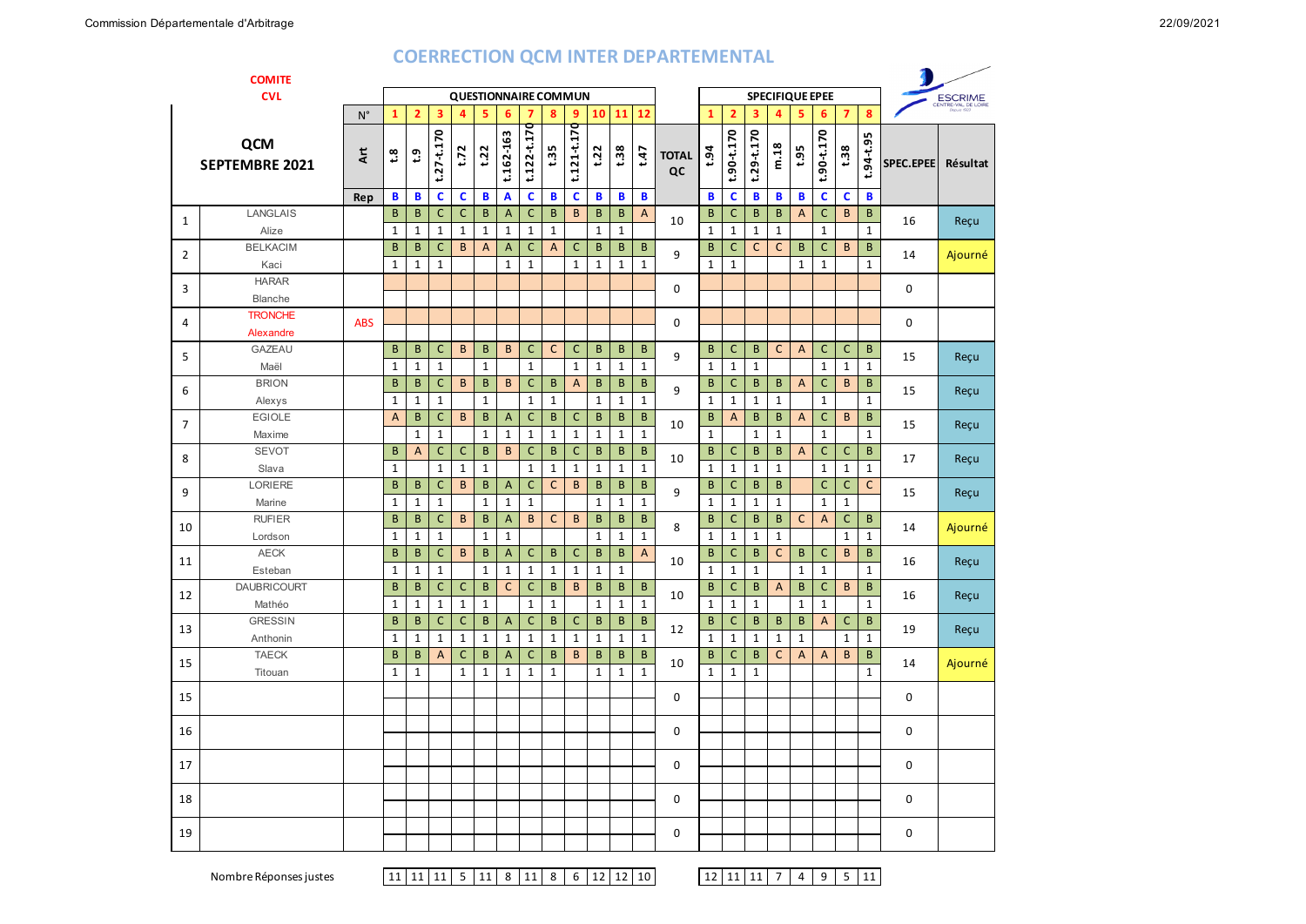| <b>COMITE</b>  |                              |             |                           |                           |                              |              |                   |                   |                             |                 |                             |                             |                         |                          |                    |                   |                              |                   |                        |                           |                             |                   |                          |                  |              |
|----------------|------------------------------|-------------|---------------------------|---------------------------|------------------------------|--------------|-------------------|-------------------|-----------------------------|-----------------|-----------------------------|-----------------------------|-------------------------|--------------------------|--------------------|-------------------|------------------------------|-------------------|------------------------|---------------------------|-----------------------------|-------------------|--------------------------|------------------|--------------|
|                | <b>CVL</b>                   |             |                           |                           |                              |              |                   |                   |                             |                 | <b>QUESTIONNAIRE COMMUN</b> |                             |                         |                          |                    |                   |                              |                   | <b>SPECIFIQUE EPEE</b> | <b>ESCRIME</b>            |                             |                   |                          |                  |              |
|                |                              | $N^{\circ}$ | $\mathbf{1}$              | $\overline{2}$            | 3                            | 4            | 5                 | 6                 | 7                           | 8               | 9                           | 10                          | 11                      | 12                       |                    | $\mathbf{1}$      | $\overline{2}$               | 3                 | 4                      | 5                         | 6                           | $\overline{7}$    | 8                        |                  |              |
|                | QCM<br><b>SEPTEMBRE 2021</b> | ξ           | $\boldsymbol{\mathsf{S}}$ | $\mathbf{c}$              | $t.27 - t.170$               | t.72         | t.22              | t.162-163         | $t.122 - t.170$             | $t\mathbf{.35}$ | $t.121 - t.170$             | t.22                        | t.38                    | t.47                     | <b>TOTAL</b><br>QC | t.94              | t.90-t.170                   | $t.29 - t.170$    | m.18                   | t.95                      | 90-t.170<br>ئە              | t.38              | $.94 - 0.95$             | <b>SPEC.EPEE</b> | Résultat     |
|                |                              | Rep         | B                         | B                         | $\mathbf c$                  | $\mathbf c$  | B                 | A                 | C                           | B               | C                           | B                           | B                       | B                        |                    | B                 | C                            | В                 | B                      | B                         | c                           | C                 | B                        |                  |              |
| $\mathbf{1}$   | LANGLAIS                     |             | B                         | B                         | $\mathsf{C}$                 | $\mathsf{C}$ | B                 | A                 | С                           | B               | B                           | B                           | B                       | $\overline{A}$           | 10                 | B                 | $\mathsf{C}$                 | B                 | B                      | $\boldsymbol{\mathsf{A}}$ | $\mathsf{C}$                | B                 | B                        | 16               | Reçu         |
|                | Alize                        |             | $\mathbf{1}$              | $\mathbf 1$               | $1\,$                        | $1\,$        | $\mathbf{1}$      | $\mathbf 1$       | $\mathbf 1$                 | $\mathbf{1}$    |                             | $\mathbf{1}$                | $\mathbf{1}$            |                          |                    | $\mathbf{1}$      | $\mathbf{1}$                 | $\mathbf{1}$      | $\mathbf{1}$           |                           | $\mathbf{1}$                |                   | $\mathbf{1}$             |                  |              |
| 2              | <b>BELKACIM</b>              |             | B<br>$\mathbf{1}$         | $\sf{B}$<br>$\mathbf{1}$  | $\mathsf C$<br>$\mathbf{1}$  | B            | A                 | A<br>$\mathbf{1}$ | $\mathsf C$<br>$\mathbf{1}$ | $\overline{A}$  | C<br>$\mathbf{1}$           | $\mathsf B$<br>$\mathbf{1}$ | $\sf B$<br>$\mathbf{1}$ | $\sf{B}$<br>$\mathbf{1}$ | 9                  | B<br>$\mathbf{1}$ | $\mathsf C$<br>$\mathbf{1}$  | $\mathsf{C}$      | $\mathsf{C}$           | B<br>$\mathbf{1}$         | $\mathsf C$<br>$\mathbf{1}$ | B                 | $\sf{B}$<br>$\mathbf{1}$ | 14               | Ajourné      |
|                | Kaci<br><b>HARAR</b>         |             |                           |                           |                              |              |                   |                   |                             |                 |                             |                             |                         |                          |                    |                   |                              |                   |                        |                           |                             |                   |                          |                  |              |
| 3              | Blanche                      |             |                           |                           |                              |              |                   |                   |                             |                 |                             |                             |                         |                          | $\mathbf 0$        |                   |                              |                   |                        |                           |                             |                   |                          | 0                |              |
|                | <b>TRONCHE</b>               |             |                           |                           |                              |              |                   |                   |                             |                 |                             |                             |                         |                          |                    |                   |                              |                   |                        |                           |                             |                   |                          |                  |              |
| $\overline{4}$ | Alexandre                    | <b>ABS</b>  |                           |                           |                              |              |                   |                   |                             |                 |                             |                             |                         |                          | 0                  |                   |                              |                   |                        |                           |                             |                   |                          | 0                |              |
|                | <b>GAZEAU</b>                |             | B                         | B                         | C                            | B            | B                 | B                 | C                           | $\mathsf{C}$    | C                           | B                           | B                       | B                        |                    | B                 | C                            | B                 | C                      | A                         | $\mathsf{C}$                | C                 | B                        |                  |              |
| 5              | Maël                         |             | $\mathbf{1}$              | $\mathbf 1$               | $\mathbf{1}$                 |              | $\mathbf{1}$      |                   | $\mathbf{1}$                |                 | $\mathbf{1}$                | $\mathbf{1}$                | $\mathbf{1}$            | $\mathbf{1}$             | 9                  | $\mathbf{1}$      | $\mathbf{1}$                 | $\mathbf{1}$      |                        |                           | $\mathbf{1}$                | $\mathbf{1}$      | $\mathbf{1}$             | 15               | Reçu         |
| 6              | <b>BRION</b>                 |             | $\sf{B}$                  | $\sf B$                   | $\mathsf C$                  | $\mathsf{B}$ | $\mathsf B$       | B                 | $\mathsf C$                 | B               | $\overline{A}$              | B                           | B                       | B                        | B<br>9             |                   | $\mathsf C$                  | B                 | B                      | $\boldsymbol{\mathsf{A}}$ | $\mathsf C$                 | B                 | B                        | 15               | Reçu<br>Reçu |
|                | Alexys                       |             | $\mathbf{1}$              | $\mathbf 1$               | $\mathbf{1}$                 |              | $\mathbf{1}$      |                   | $\mathbf 1$                 | $\mathbf{1}$    |                             | $\mathbf{1}$                | $\mathbf{1}$            | $\mathbf{1}$             |                    | $\mathbf{1}$      | $\mathbf{1}$                 | $\mathbf{1}$      | $\mathbf{1}$           |                           | $\mathbf{1}$                |                   | $\mathbf{1}$             |                  |              |
| 7              | <b>EGIOLE</b>                |             | $\overline{A}$            | B                         | $\mathsf C$                  | $\mathsf{B}$ | B                 | $\overline{A}$    | C                           | B               | $\mathsf{C}$                | $\mathsf{B}$                | $\mathsf{B}$            | $\sf B$                  | 10                 | $\sf{B}$          | $\mathsf A$                  | B                 | B                      | $\mathsf{A}$              | $\mathsf C$                 | $\sf{B}$          | B                        | 15               |              |
|                | Maxime                       |             |                           | $\mathbf 1$               | $\mathbf 1$                  |              | $\mathbf 1$       | $\mathbf{1}$      | $\mathbf 1$                 | $\mathbf{1}$    | $\mathbf{1}$                | $\mathbf 1$                 | $\mathbf{1}$            | $\mathbf{1}$             |                    | $\mathbf{1}$      |                              | $\mathbf{1}$      | $\mathbf{1}$           |                           | $\mathbf 1$                 |                   | $\mathbf{1}$             |                  |              |
| 8              | <b>SEVOT</b>                 |             | B                         | $\boldsymbol{\mathsf{A}}$ | $\mathsf C$                  | $\mathsf C$  | $\overline{B}$    | B                 | $\mathsf C$                 | $\sf{B}$        | $\mathsf C$                 | $\sf B$                     | $\sf B$                 | $\sf B$                  | 10                 | B                 | $\mathsf C$                  | B                 | B                      | $\mathsf{A}$              | $\overline{\mathsf{C}}$     | $\mathsf C$       | $\sf{B}$                 | 17               | Reçu         |
|                | Slava                        |             | $\mathbf{1}$              |                           | $\mathbf{1}$                 | $1\,$        | $\mathbf 1$       |                   | $\mathbf 1$                 | $\mathbf{1}$    | $\mathbf 1$                 | $\mathbf{1}$                | $\mathbf 1$             | $\mathbf{1}$             |                    | $\mathbf{1}$      | $\mathbf{1}$                 | $\mathbf{1}$      | $\mathbf{1}$           |                           | $\mathbf{1}$                | $\mathbf{1}$      | $\mathbf{1}$             |                  |              |
| 9              | <b>LORIERE</b>               |             | B                         | B                         | $\mathsf C$                  | $\mathsf{B}$ | B                 | A                 | $\mathsf C$                 | $\mathsf{C}$    | $\sf B$                     | B                           | $\sf B$                 | $\sf B$                  | 9                  | $\sf{B}$          | $\mathsf C$                  | B                 | B                      |                           | $\mathsf C$                 | C                 | $\mathsf{C}$             | 15               | Reçu         |
|                | Marine                       |             | $\mathbf 1$               | $\mathbf 1$               | $1\,$                        |              | $\mathbf{1}$      | $\mathbf{1}$      | $\mathbf 1$                 |                 |                             | $\mathbf{1}$                | $\mathbf{1}$            | $\mathbf{1}$             |                    | $\mathbf{1}$      | $\mathbf{1}$                 | $\mathbf{1}$      | $\mathbf{1}$           |                           | $\mathbf{1}$                | $\mathbf{1}$      |                          |                  | Ajourné      |
| 10             | <b>RUFIER</b>                |             | B<br>$\mathbf{1}$         | B<br>$\mathbf 1$          | $\mathsf{C}$<br>$\mathbf{1}$ | B            | B<br>$\mathbf{1}$ | A<br>$\mathbf{1}$ | B                           | C               | B                           | B<br>$\mathbf{1}$           | B<br>$\mathbf{1}$       | B<br>$\mathbf{1}$        | 8                  | B<br>$\mathbf{1}$ | $\mathsf{C}$<br>$\mathbf{1}$ | B<br>$\mathbf{1}$ | B<br>$\mathbf{1}$      | C                         | $\mathsf{A}$                | С<br>$\mathbf{1}$ | B<br>$\mathbf{1}$        | 14               |              |
|                | Lordson<br><b>AECK</b>       |             | $\sf{B}$                  | B                         | $\mathsf C$                  | $\mathsf{B}$ | B                 | $\overline{A}$    | $\mathsf C$                 | B               | $\mathsf C$                 | $\sf B$                     | B                       | $\mathsf{A}$             |                    | $\sf{B}$          | $\mathsf C$                  | B                 | $\mathsf C$            | $\sf{B}$                  | $\mathsf C$                 | $\sf{B}$          | B                        |                  |              |
| 11             | Esteban                      |             | $\mathbf 1$               | $\mathbf 1$               | $\mathbf{1}$                 |              | $\mathbf{1}$      | $\mathbf 1$       | $\mathbf{1}$                | $\mathbf{1}$    | $\mathbf{1}$                | $\mathbf{1}$                | $\mathbf{1}$            |                          | 10                 | $\mathbf{1}$      | $\mathbf{1}$                 | $\mathbf{1}$      |                        | $\mathbf 1$               | $\mathbf{1}$                |                   | $\mathbf{1}$             | 16               | Reçu         |
|                | <b>DAUBRICOURT</b>           |             | $\sf{B}$                  | B                         | $\mathsf{C}$                 | $\mathsf C$  | B                 | $\mathsf{C}$      | $\mathsf{C}$                | $\sf{B}$        | $\sf B$                     | $\mathsf{B}$                | $\sf B$                 | B                        |                    | B                 | $\mathsf C$                  | B                 | $\mathsf A$            | $\sf{B}$                  | $\overline{\mathsf{C}}$     | B                 | $\sf{B}$                 |                  |              |
| 12             | Mathéo                       |             | $\mathbf{1}$              | $\mathbf{1}$              | $\mathbf{1}$                 | $\mathbf{1}$ | $\mathbf{1}$      |                   | $\mathbf{1}$                | $\mathbf{1}$    |                             | $\mathbf{1}$                | $\mathbf{1}$            | $\mathbf{1}$             | 10                 | $\mathbf{1}$      | $\mathbf{1}$                 | $\mathbf{1}$      |                        | $\mathbf{1}$              | $\mathbf{1}$                |                   | $\mathbf{1}$             | 16               | Reçu         |
|                | <b>GRESSIN</b>               |             | B                         | B                         | $\mathsf{C}$                 | $\mathsf{C}$ | B                 | $\mathsf{A}$      | $\mathsf C$                 | B               | C                           | B                           | B                       | $\sf B$                  |                    | B                 | $\mathsf C$                  | B                 | B                      | B                         | A                           | C                 | B                        |                  |              |
| 13             | Anthonin                     |             | $\mathbf 1$               | $\mathbf 1$               | $1\,$                        | $1\,$        | $\mathbf{1}$      | $\mathbf{1}$      | $\mathbf 1$                 | $\mathbf 1$     | $\mathbf{1}$                | $\mathbf 1$                 | $\mathbf{1}$            | $\mathbf{1}$             | 12                 | $\mathbf{1}$      | $\mathbf{1}$                 | $\mathbf{1}$      | $\mathbf{1}$           | $\mathbf 1$               |                             | $\mathbf{1}$      | $\mathbf{1}$             | 19               | Reçu         |
|                | <b>TAECK</b>                 |             | B                         | $\sf{B}$                  | $\overline{A}$               | $\mathsf{C}$ | B                 | $\overline{A}$    | $\mathsf{C}$                | B               | $\sf B$                     | B                           | $\sf B$                 | $\sf{B}$                 | 10                 | B                 | $\mathsf C$                  | B                 | $\mathsf{C}$           | $\boldsymbol{\mathsf{A}}$ | A                           | $\sf{B}$          | $\sf{B}$                 | 14               |              |
| 15             | Titouan                      |             | $\mathbf{1}$              | $\mathbf{1}$              |                              | $\mathbf{1}$ | $\mathbf{1}$      | $\mathbf{1}$      | $\mathbf{1}$                | $\mathbf 1$     |                             | $\mathbf{1}$                | $\mathbf{1}$            | $\mathbf{1}$             |                    | $\mathbf{1}$      | $\mathbf{1}$                 | $\mathbf{1}$      |                        |                           |                             |                   | $\mathbf{1}$             |                  | Ajourné      |
| 15             |                              |             |                           |                           |                              |              |                   |                   |                             |                 |                             |                             |                         |                          | $\mathbf 0$        |                   |                              |                   |                        |                           |                             |                   |                          | 0                |              |
|                |                              |             |                           |                           |                              |              |                   |                   |                             |                 |                             |                             |                         |                          |                    |                   |                              |                   |                        |                           |                             |                   |                          |                  |              |
| 16             |                              |             |                           |                           |                              |              |                   |                   |                             |                 |                             |                             |                         |                          | 0                  |                   |                              |                   |                        |                           |                             |                   |                          | 0                |              |
| 17             |                              |             |                           |                           |                              |              |                   |                   |                             |                 |                             |                             |                         |                          | $\mathbf 0$        |                   |                              |                   |                        |                           |                             |                   |                          | 0                |              |
|                |                              |             |                           |                           |                              |              |                   |                   |                             |                 |                             |                             |                         |                          |                    |                   |                              |                   |                        |                           |                             |                   |                          |                  |              |
| 18             |                              |             |                           |                           |                              |              |                   |                   |                             |                 |                             |                             |                         |                          | $\mathbf 0$        |                   |                              |                   |                        |                           |                             |                   |                          | 0                |              |
| 19             |                              |             |                           |                           |                              |              |                   |                   |                             |                 |                             |                             |                         |                          | 0                  |                   |                              |                   |                        |                           |                             |                   |                          | 0                |              |

 $12$  11 11 7 4 9 5 11